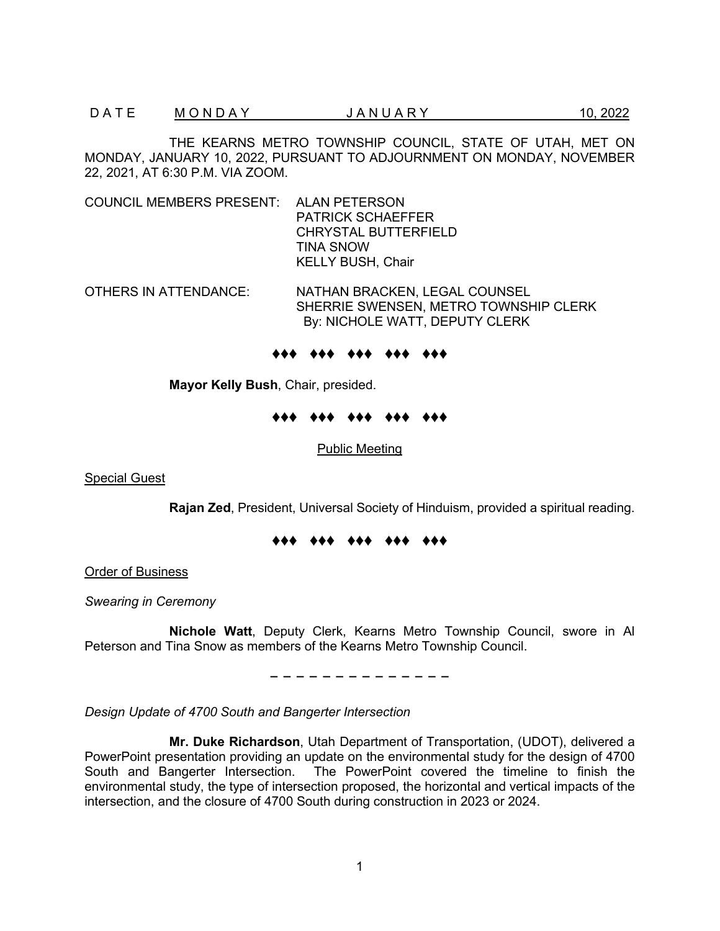THE KEARNS METRO TOWNSHIP COUNCIL, STATE OF UTAH, MET ON MONDAY, JANUARY 10, 2022, PURSUANT TO ADJOURNMENT ON MONDAY, NOVEMBER 22, 2021, AT 6:30 P.M. VIA ZOOM.

- COUNCIL MEMBERS PRESENT: ALAN PETERSON PATRICK SCHAEFFER CHRYSTAL BUTTERFIELD TINA SNOW KELLY BUSH, Chair
- OTHERS IN ATTENDANCE: NATHAN BRACKEN, LEGAL COUNSEL SHERRIE SWENSEN, METRO TOWNSHIP CLERK By: NICHOLE WATT, DEPUTY CLERK

#### ♦♦♦ ♦♦♦ ♦♦♦ ♦♦♦ ♦♦♦

**Mayor Kelly Bush**, Chair, presided.

#### ♦♦♦ ♦♦♦ ♦♦♦ ♦♦♦ ♦♦♦

Public Meeting

**Special Guest** 

**Rajan Zed**, President, Universal Society of Hinduism, provided a spiritual reading.

#### ♦♦♦ ♦♦♦ ♦♦♦ ♦♦♦ ♦♦♦

Order of Business

*Swearing in Ceremony*

**Nichole Watt**, Deputy Clerk, Kearns Metro Township Council, swore in Al Peterson and Tina Snow as members of the Kearns Metro Township Council.

− − − − − − − − − − − − − −

*Design Update of 4700 South and Bangerter Intersection*

**Mr. Duke Richardson**, Utah Department of Transportation, (UDOT), delivered a PowerPoint presentation providing an update on the environmental study for the design of 4700 South and Bangerter Intersection. The PowerPoint covered the timeline to finish the environmental study, the type of intersection proposed, the horizontal and vertical impacts of the intersection, and the closure of 4700 South during construction in 2023 or 2024.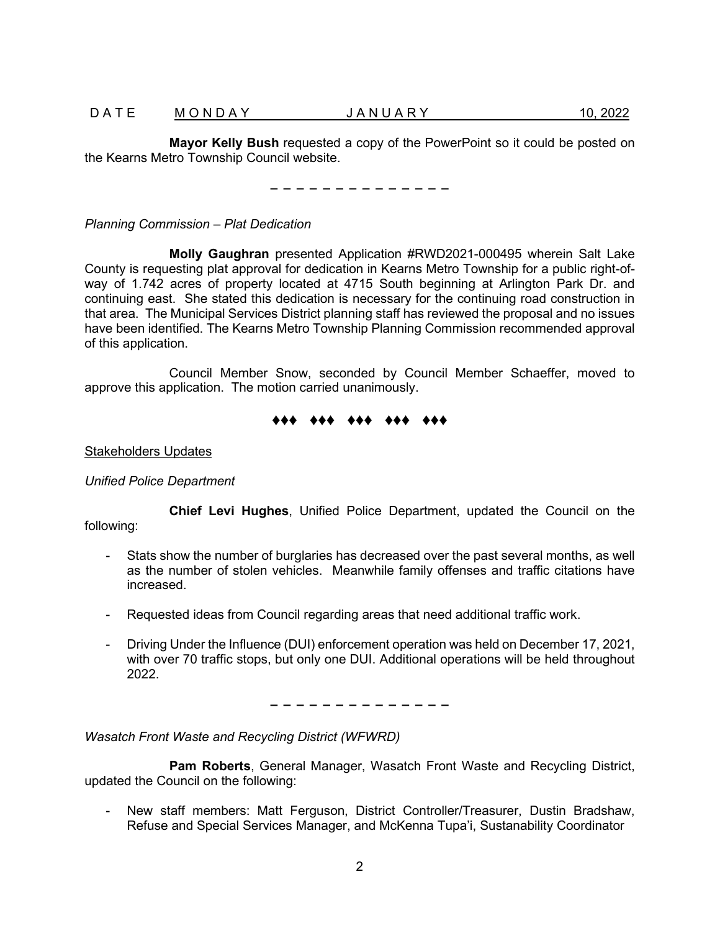**Mayor Kelly Bush** requested a copy of the PowerPoint so it could be posted on the Kearns Metro Township Council website.

− − − − − − − − − − − − − −

*Planning Commission – Plat Dedication*

**Molly Gaughran** presented Application #RWD2021-000495 wherein Salt Lake County is requesting plat approval for dedication in Kearns Metro Township for a public right-ofway of 1.742 acres of property located at 4715 South beginning at Arlington Park Dr. and continuing east. She stated this dedication is necessary for the continuing road construction in that area. The Municipal Services District planning staff has reviewed the proposal and no issues have been identified. The Kearns Metro Township Planning Commission recommended approval of this application.

Council Member Snow, seconded by Council Member Schaeffer, moved to approve this application. The motion carried unanimously.

# ♦♦♦ ♦♦♦ ♦♦♦ ♦♦♦ ♦♦♦

### Stakeholders Updates

### *Unified Police Department*

**Chief Levi Hughes**, Unified Police Department, updated the Council on the following:

- 
- Stats show the number of burglaries has decreased over the past several months, as well as the number of stolen vehicles. Meanwhile family offenses and traffic citations have increased.
- Requested ideas from Council regarding areas that need additional traffic work.
- Driving Under the Influence (DUI) enforcement operation was held on December 17, 2021, with over 70 traffic stops, but only one DUI. Additional operations will be held throughout 2022.

− − − − − − − − − − − − − −

*Wasatch Front Waste and Recycling District (WFWRD)*

**Pam Roberts**, General Manager, Wasatch Front Waste and Recycling District, updated the Council on the following:

- New staff members: Matt Ferguson, District Controller/Treasurer, Dustin Bradshaw, Refuse and Special Services Manager, and McKenna Tupa'i, Sustanability Coordinator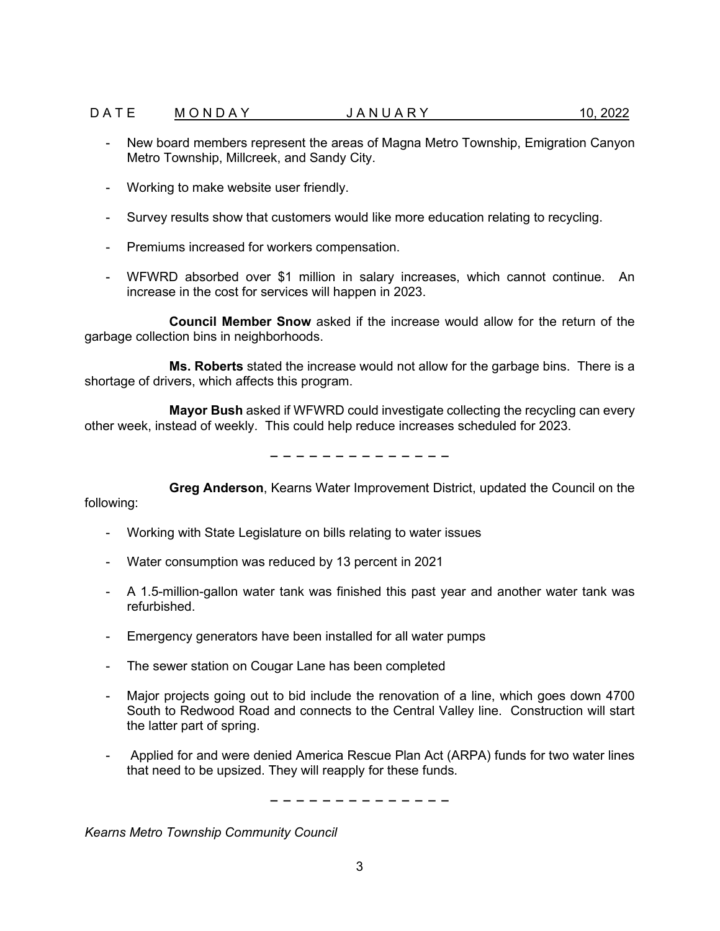### D A T E M O N D A Y  $J$  A N U A R Y  $10.2022$

- New board members represent the areas of Magna Metro Township, Emigration Canyon Metro Township, Millcreek, and Sandy City.
- Working to make website user friendly.
- Survey results show that customers would like more education relating to recycling.
- Premiums increased for workers compensation.
- WFWRD absorbed over \$1 million in salary increases, which cannot continue. An increase in the cost for services will happen in 2023.

**Council Member Snow** asked if the increase would allow for the return of the garbage collection bins in neighborhoods.

**Ms. Roberts** stated the increase would not allow for the garbage bins. There is a shortage of drivers, which affects this program.

**Mayor Bush** asked if WFWRD could investigate collecting the recycling can every other week, instead of weekly. This could help reduce increases scheduled for 2023.

− − − − − − − − − − − − − −

**Greg Anderson**, Kearns Water Improvement District, updated the Council on the following:

- - Working with State Legislature on bills relating to water issues
	- Water consumption was reduced by 13 percent in 2021
	- A 1.5-million-gallon water tank was finished this past year and another water tank was refurbished.
	- Emergency generators have been installed for all water pumps
	- The sewer station on Cougar Lane has been completed
	- Major projects going out to bid include the renovation of a line, which goes down 4700 South to Redwood Road and connects to the Central Valley line. Construction will start the latter part of spring.
	- Applied for and were denied America Rescue Plan Act (ARPA) funds for two water lines that need to be upsized. They will reapply for these funds.

− − − − − − − − − − − − − −

*Kearns Metro Township Community Council*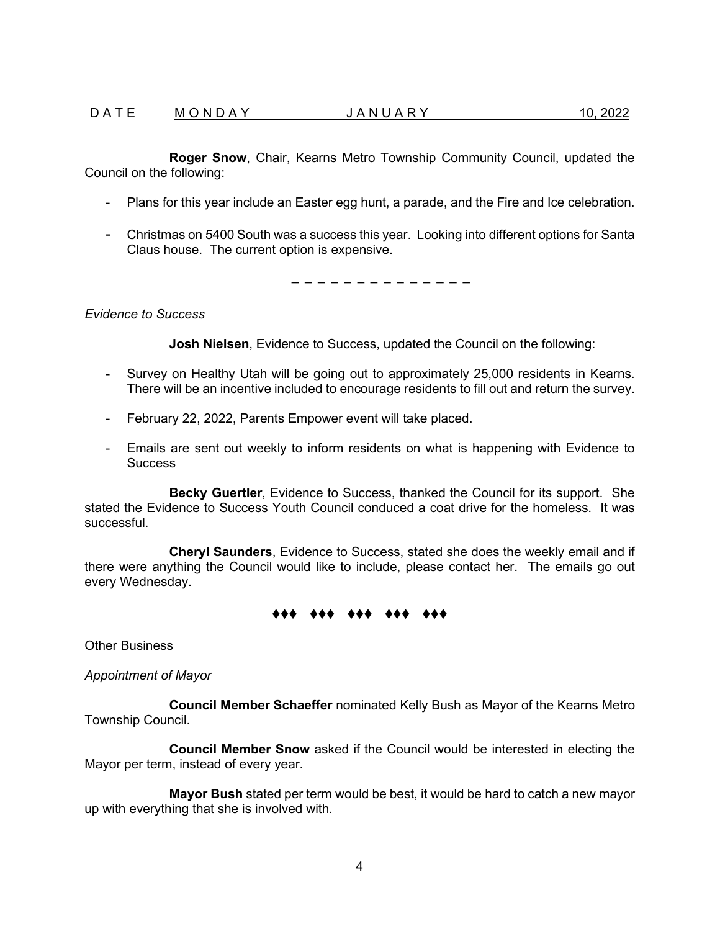### D A T E M O N D A Y  $J$  A N U A R Y  $10.2022$

**Roger Snow**, Chair, Kearns Metro Township Community Council, updated the Council on the following:

- Plans for this year include an Easter egg hunt, a parade, and the Fire and Ice celebration.
- Christmas on 5400 South was a success this year. Looking into different options for Santa Claus house. The current option is expensive.

− − − − − − − − − − − − − −

#### *Evidence to Success*

**Josh Nielsen**, Evidence to Success, updated the Council on the following:

- Survey on Healthy Utah will be going out to approximately 25,000 residents in Kearns. There will be an incentive included to encourage residents to fill out and return the survey.
- February 22, 2022, Parents Empower event will take placed.
- Emails are sent out weekly to inform residents on what is happening with Evidence to **Success**

**Becky Guertler**, Evidence to Success, thanked the Council for its support. She stated the Evidence to Success Youth Council conduced a coat drive for the homeless. It was successful.

**Cheryl Saunders**, Evidence to Success, stated she does the weekly email and if there were anything the Council would like to include, please contact her. The emails go out every Wednesday.

#### ♦♦♦ ♦♦♦ ♦♦♦ ♦♦♦ ♦♦♦

Other Business

*Appointment of Mayor*

**Council Member Schaeffer** nominated Kelly Bush as Mayor of the Kearns Metro Township Council.

**Council Member Snow** asked if the Council would be interested in electing the Mayor per term, instead of every year.

**Mayor Bush** stated per term would be best, it would be hard to catch a new mayor up with everything that she is involved with.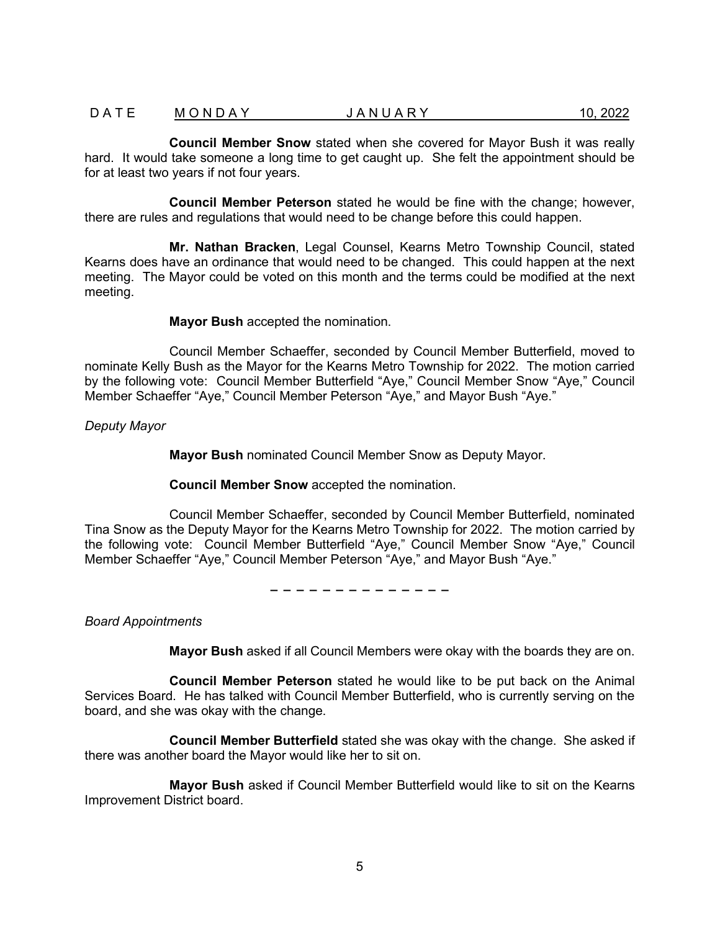# D A T E M O N D A Y  $JANUARY$  10, 2022

**Council Member Snow** stated when she covered for Mayor Bush it was really hard. It would take someone a long time to get caught up. She felt the appointment should be for at least two years if not four years.

**Council Member Peterson** stated he would be fine with the change; however, there are rules and regulations that would need to be change before this could happen.

**Mr. Nathan Bracken**, Legal Counsel, Kearns Metro Township Council, stated Kearns does have an ordinance that would need to be changed. This could happen at the next meeting. The Mayor could be voted on this month and the terms could be modified at the next meeting.

**Mayor Bush** accepted the nomination.

Council Member Schaeffer, seconded by Council Member Butterfield, moved to nominate Kelly Bush as the Mayor for the Kearns Metro Township for 2022. The motion carried by the following vote: Council Member Butterfield "Aye," Council Member Snow "Aye," Council Member Schaeffer "Aye," Council Member Peterson "Aye," and Mayor Bush "Aye."

*Deputy Mayor*

**Mayor Bush** nominated Council Member Snow as Deputy Mayor.

#### **Council Member Snow** accepted the nomination.

Council Member Schaeffer, seconded by Council Member Butterfield, nominated Tina Snow as the Deputy Mayor for the Kearns Metro Township for 2022. The motion carried by the following vote: Council Member Butterfield "Aye," Council Member Snow "Aye," Council Member Schaeffer "Aye," Council Member Peterson "Aye," and Mayor Bush "Aye."

− − − − − − − − − − − − − −

*Board Appointments*

**Mayor Bush** asked if all Council Members were okay with the boards they are on.

**Council Member Peterson** stated he would like to be put back on the Animal Services Board. He has talked with Council Member Butterfield, who is currently serving on the board, and she was okay with the change.

**Council Member Butterfield** stated she was okay with the change. She asked if there was another board the Mayor would like her to sit on.

**Mayor Bush** asked if Council Member Butterfield would like to sit on the Kearns Improvement District board.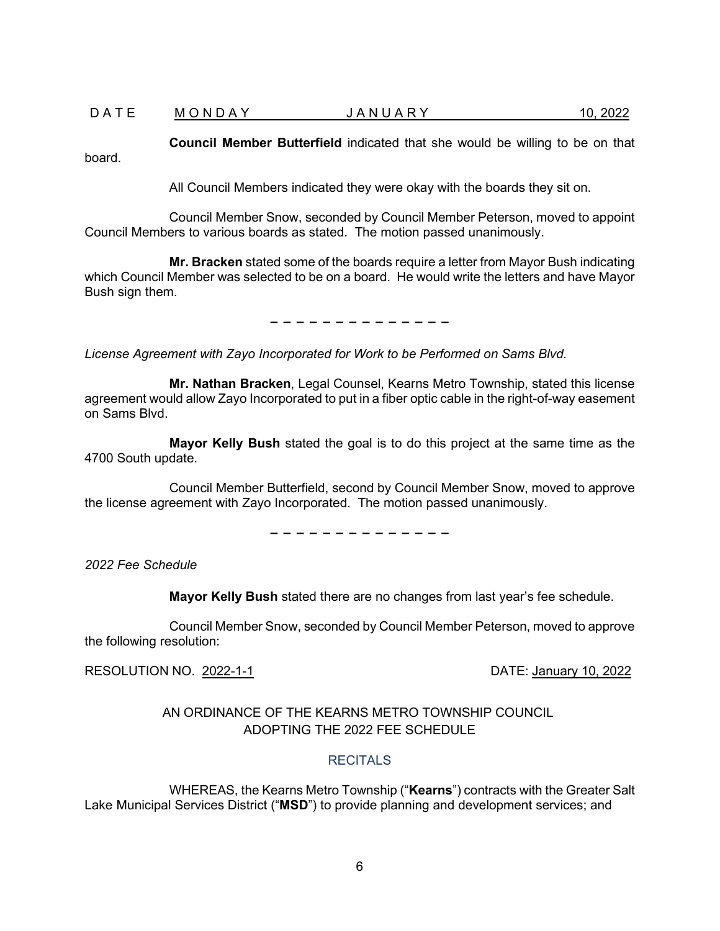### D A T E M O N D A Y  $J$  A N U A R Y  $10,2022$

**Council Member Butterfield** indicated that she would be willing to be on that board.

All Council Members indicated they were okay with the boards they sit on.

Council Member Snow, seconded by Council Member Peterson, moved to appoint Council Members to various boards as stated. The motion passed unanimously.

**Mr. Bracken** stated some of the boards require a letter from Mayor Bush indicating which Council Member was selected to be on a board. He would write the letters and have Mayor Bush sign them.

− − − − − − − − − − − − − −

*License Agreement with Zayo Incorporated for Work to be Performed on Sams Blvd.* 

**Mr. Nathan Bracken**, Legal Counsel, Kearns Metro Township, stated this license agreement would allow Zayo Incorporated to put in a fiber optic cable in the right-of-way easement on Sams Blvd.

**Mayor Kelly Bush** stated the goal is to do this project at the same time as the 4700 South update.

Council Member Butterfield, second by Council Member Snow, moved to approve the license agreement with Zayo Incorporated. The motion passed unanimously.

− − − − − − − − − − − − − −

*2022 Fee Schedule*

**Mayor Kelly Bush** stated there are no changes from last year's fee schedule.

Council Member Snow, seconded by Council Member Peterson, moved to approve the following resolution:

RESOLUTION NO. 2022-1-1DATE: January 10, 2022

# AN ORDINANCE OF THE KEARNS METRO TOWNSHIP COUNCIL ADOPTING THE 2022 FEE SCHEDULE

## **RECITALS**

WHEREAS, the Kearns Metro Township ("**Kearns**") contracts with the Greater Salt Lake Municipal Services District ("**MSD**") to provide planning and development services; and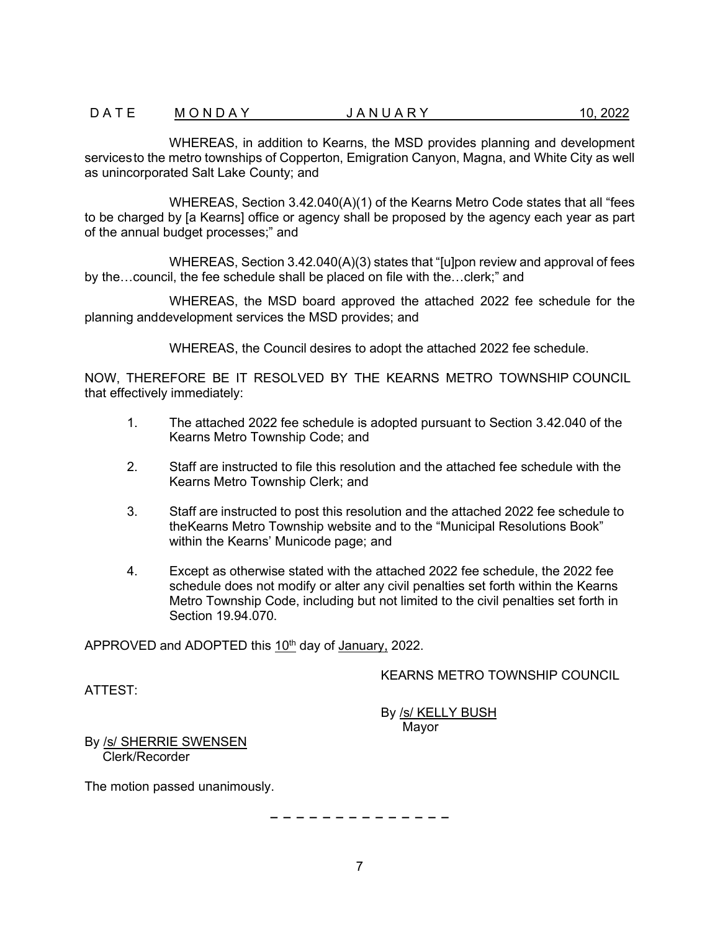WHEREAS, in addition to Kearns, the MSD provides planning and development services to the metro townships of Copperton, Emigration Canyon, Magna, and White City as well as unincorporated Salt Lake County; and

WHEREAS, Section 3.42.040(A)(1) of the Kearns Metro Code states that all "fees to be charged by [a Kearns] office or agency shall be proposed by the agency each year as part of the annual budget processes;" and

WHEREAS, Section 3.42.040(A)(3) states that "[u]pon review and approval of fees by the…council, the fee schedule shall be placed on file with the…clerk;" and

WHEREAS, the MSD board approved the attached 2022 fee schedule for the planning anddevelopment services the MSD provides; and

WHEREAS, the Council desires to adopt the attached 2022 fee schedule.

NOW, THEREFORE BE IT RESOLVED BY THE KEARNS METRO TOWNSHIP COUNCIL that effectively immediately:

- 1. The attached 2022 fee schedule is adopted pursuant to Section 3.42.040 of the Kearns Metro Township Code; and
- 2. Staff are instructed to file this resolution and the attached fee schedule with the Kearns Metro Township Clerk; and
- 3. Staff are instructed to post this resolution and the attached 2022 fee schedule to theKearns Metro Township website and to the "Municipal Resolutions Book" within the Kearns' Municode page; and
- 4. Except as otherwise stated with the attached 2022 fee schedule, the 2022 fee schedule does not modify or alter any civil penalties set forth within the Kearns Metro Township Code, including but not limited to the civil penalties set forth in Section 19.94.070.

APPROVED and ADOPTED this 10<sup>th</sup> day of January, 2022.

KEARNS METRO TOWNSHIP COUNCIL

ATTEST:

By /s/ KELLY BUSH Mayor

By /s/ SHERRIE SWENSEN Clerk/Recorder

The motion passed unanimously.

− − − − − − − − − − − − − −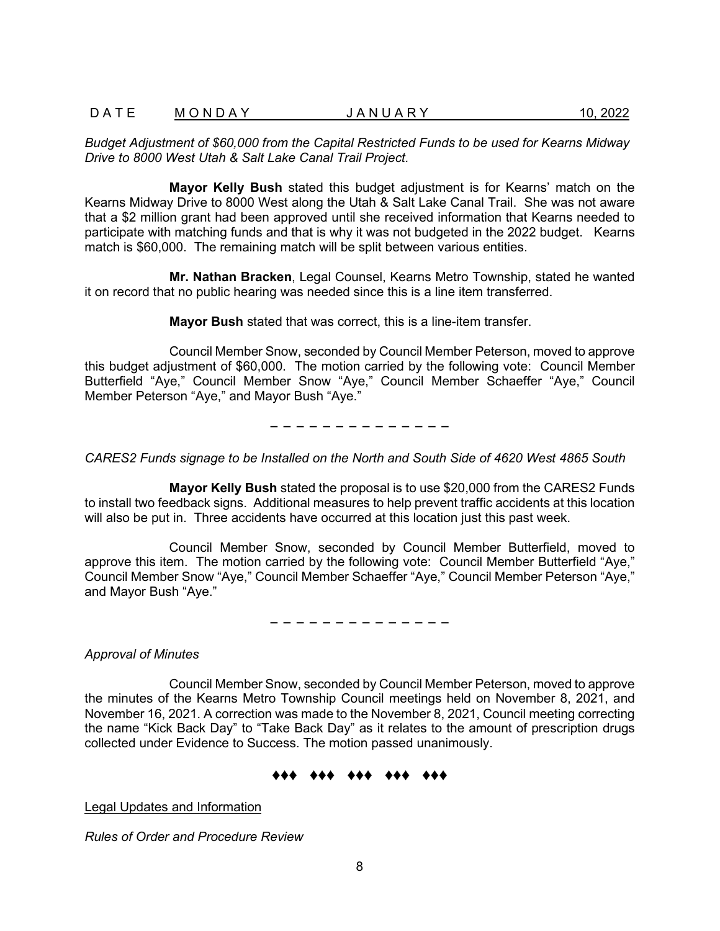### D A T E M O N D A Y  $J$  A N U A R Y  $10.2022$

*Budget Adjustment of \$60,000 from the Capital Restricted Funds to be used for Kearns Midway Drive to 8000 West Utah & Salt Lake Canal Trail Project.* 

**Mayor Kelly Bush** stated this budget adjustment is for Kearns' match on the Kearns Midway Drive to 8000 West along the Utah & Salt Lake Canal Trail. She was not aware that a \$2 million grant had been approved until she received information that Kearns needed to participate with matching funds and that is why it was not budgeted in the 2022 budget. Kearns match is \$60,000. The remaining match will be split between various entities.

**Mr. Nathan Bracken**, Legal Counsel, Kearns Metro Township, stated he wanted it on record that no public hearing was needed since this is a line item transferred.

**Mayor Bush** stated that was correct, this is a line-item transfer.

Council Member Snow, seconded by Council Member Peterson, moved to approve this budget adjustment of \$60,000. The motion carried by the following vote: Council Member Butterfield "Aye," Council Member Snow "Aye," Council Member Schaeffer "Aye," Council Member Peterson "Aye," and Mayor Bush "Aye."

− − − − − − − − − − − − − −

#### *CARES2 Funds signage to be Installed on the North and South Side of 4620 West 4865 South*

**Mayor Kelly Bush** stated the proposal is to use \$20,000 from the CARES2 Funds to install two feedback signs. Additional measures to help prevent traffic accidents at this location will also be put in. Three accidents have occurred at this location just this past week.

Council Member Snow, seconded by Council Member Butterfield, moved to approve this item. The motion carried by the following vote: Council Member Butterfield "Aye," Council Member Snow "Aye," Council Member Schaeffer "Aye," Council Member Peterson "Aye," and Mayor Bush "Aye."

− − − − − − − − − − − − − −

*Approval of Minutes*

Council Member Snow, seconded by Council Member Peterson, moved to approve the minutes of the Kearns Metro Township Council meetings held on November 8, 2021, and November 16, 2021. A correction was made to the November 8, 2021, Council meeting correcting the name "Kick Back Day" to "Take Back Day" as it relates to the amount of prescription drugs collected under Evidence to Success. The motion passed unanimously.

## ♦♦♦ ♦♦♦ ♦♦♦ ♦♦♦ ♦♦♦

Legal Updates and Information

*Rules of Order and Procedure Review*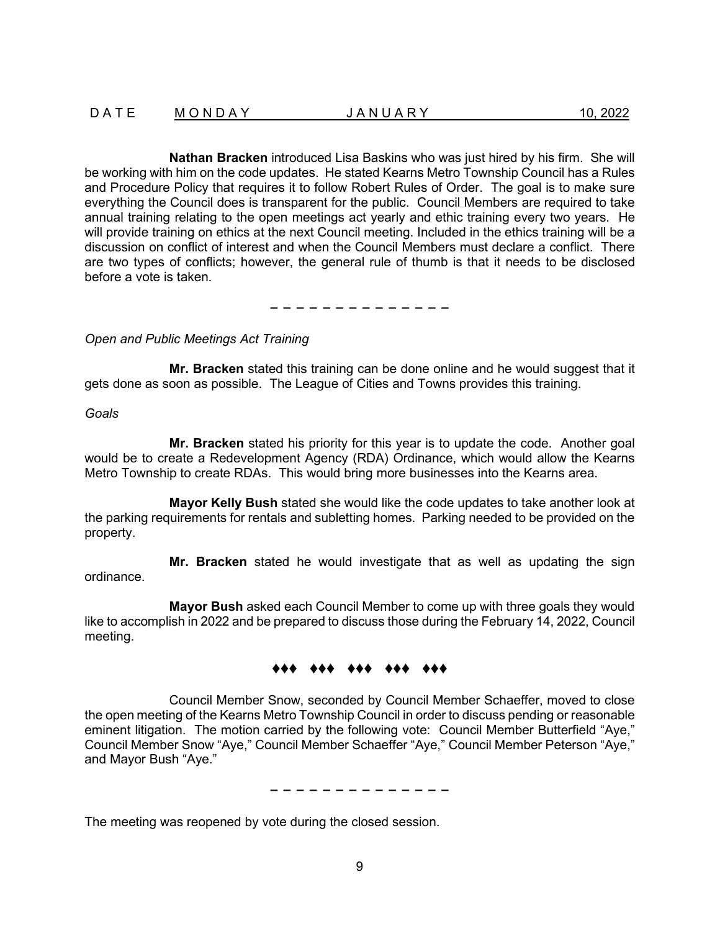**Nathan Bracken** introduced Lisa Baskins who was just hired by his firm. She will be working with him on the code updates. He stated Kearns Metro Township Council has a Rules and Procedure Policy that requires it to follow Robert Rules of Order. The goal is to make sure everything the Council does is transparent for the public. Council Members are required to take annual training relating to the open meetings act yearly and ethic training every two years. He will provide training on ethics at the next Council meeting. Included in the ethics training will be a discussion on conflict of interest and when the Council Members must declare a conflict. There are two types of conflicts; however, the general rule of thumb is that it needs to be disclosed before a vote is taken.

− − − − − − − − − − − − − −

*Open and Public Meetings Act Training* 

**Mr. Bracken** stated this training can be done online and he would suggest that it gets done as soon as possible. The League of Cities and Towns provides this training.

*Goals*

**Mr. Bracken** stated his priority for this year is to update the code. Another goal would be to create a Redevelopment Agency (RDA) Ordinance, which would allow the Kearns Metro Township to create RDAs. This would bring more businesses into the Kearns area.

**Mayor Kelly Bush** stated she would like the code updates to take another look at the parking requirements for rentals and subletting homes. Parking needed to be provided on the property.

**Mr. Bracken** stated he would investigate that as well as updating the sign ordinance.

**Mayor Bush** asked each Council Member to come up with three goals they would like to accomplish in 2022 and be prepared to discuss those during the February 14, 2022, Council meeting.

# ♦♦♦ ♦♦♦ ♦♦♦ ♦♦♦ ♦♦♦

Council Member Snow, seconded by Council Member Schaeffer, moved to close the open meeting of the Kearns Metro Township Council in order to discuss pending or reasonable eminent litigation. The motion carried by the following vote: Council Member Butterfield "Aye," Council Member Snow "Aye," Council Member Schaeffer "Aye," Council Member Peterson "Aye," and Mayor Bush "Aye."

− − − − − − − − − − − − − −

The meeting was reopened by vote during the closed session.